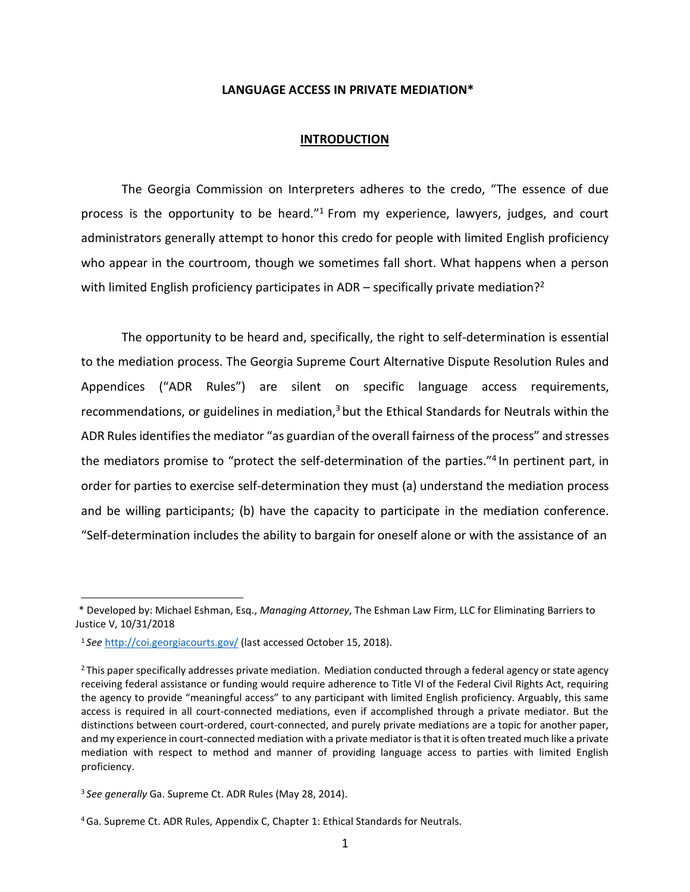#### **LANGUAGE ACCESS IN PRIVATE MEDIATION\***

### **INTRODUCTION**

The Georgia Commission on Interpreters adheres to the credo, "The essence of due process is the opportunity to be heard."<sup>1</sup> From my experience, lawyers, judges, and court administrators generally attempt to honor this credo for people with limited English proficiency who appear in the courtroom, though we sometimes fall short. What happens when a person with limited English proficiency participates in  $ADR -$  specifically private mediation?<sup>2</sup>

The opportunity to be heard and, specifically, the right to self-determination is essential to the mediation process. The Georgia Supreme Court Alternative Dispute Resolution Rules and Appendices ("ADR Rules") are silent on specific language access requirements, recommendations, or guidelines in mediation, $3$  but the Ethical Standards for Neutrals within the ADR Rules identifies the mediator "as guardian of the overall fairness of the process" and stresses the mediators promise to "protect the self-determination of the parties."4 In pertinent part, in order for parties to exercise self-determination they must (a) understand the mediation process and be willing participants; (b) have the capacity to participate in the mediation conference. "Self-determination includes the ability to bargain for oneself alone or with the assistance of an

 <sup>\*</sup> Developed by: Michael Eshman, Esq., *Managing Attorney*, The Eshman Law Firm, LLC for Eliminating Barriers to Justice V, 10/31/2018

<sup>1</sup> *See* <http://coi.georgiacourts.gov/> (last accessed October 15, 2018).

<sup>&</sup>lt;sup>2</sup> This paper specifically addresses private mediation. Mediation conducted through a federal agency or state agency receiving federal assistance or funding would require adherence to Title VI of the Federal Civil Rights Act, requiring the agency to provide "meaningful access" to any participant with limited English proficiency. Arguably, this same access is required in all court-connected mediations, even if accomplished through a private mediator. But the distinctions between court-ordered, court-connected, and purely private mediations are a topic for another paper, and my experience in court-connected mediation with a private mediator isthat it is often treated much like a private mediation with respect to method and manner of providing language access to parties with limited English proficiency.

<sup>3</sup>*See generally* Ga. Supreme Ct. ADR Rules (May 28, 2014).

<sup>4</sup> Ga. Supreme Ct. ADR Rules, Appendix C, Chapter 1: Ethical Standards for Neutrals.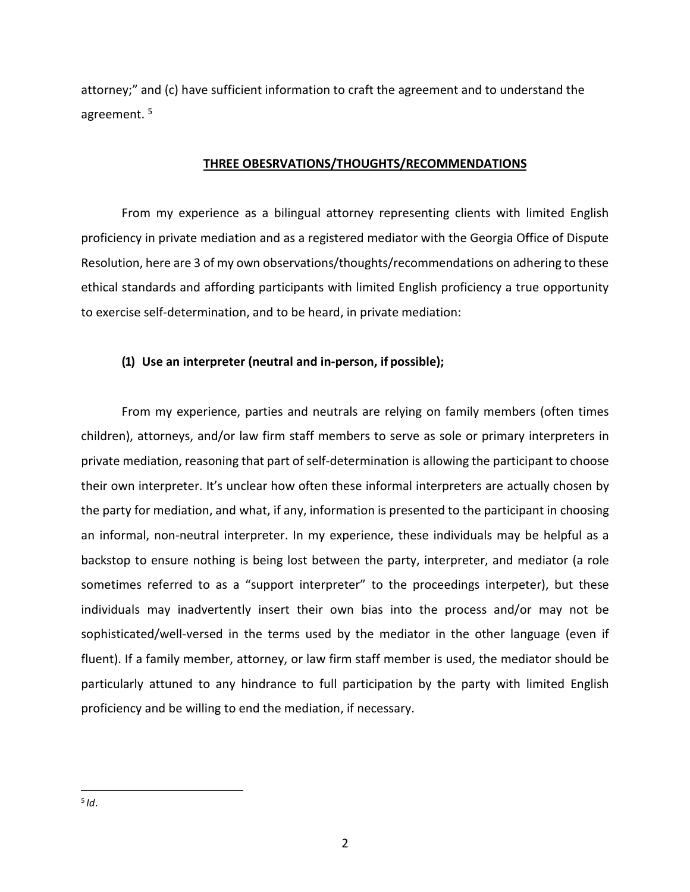attorney;" and (c) have sufficient information to craft the agreement and to understand the agreement. 5

# **THREE OBESRVATIONS/THOUGHTS/RECOMMENDATIONS**

From my experience as a bilingual attorney representing clients with limited English proficiency in private mediation and as a registered mediator with the Georgia Office of Dispute Resolution, here are 3 of my own observations/thoughts/recommendations on adhering to these ethical standards and affording participants with limited English proficiency a true opportunity to exercise self-determination, and to be heard, in private mediation:

# **(1) Use an interpreter (neutral and in-person, if possible);**

From my experience, parties and neutrals are relying on family members (often times children), attorneys, and/or law firm staff members to serve as sole or primary interpreters in private mediation, reasoning that part of self-determination is allowing the participant to choose their own interpreter. It's unclear how often these informal interpreters are actually chosen by the party for mediation, and what, if any, information is presented to the participant in choosing an informal, non-neutral interpreter. In my experience, these individuals may be helpful as a backstop to ensure nothing is being lost between the party, interpreter, and mediator (a role sometimes referred to as a "support interpreter" to the proceedings interpeter), but these individuals may inadvertently insert their own bias into the process and/or may not be sophisticated/well-versed in the terms used by the mediator in the other language (even if fluent). If a family member, attorney, or law firm staff member is used, the mediator should be particularly attuned to any hindrance to full participation by the party with limited English proficiency and be willing to end the mediation, if necessary.

 $5$  *Id*.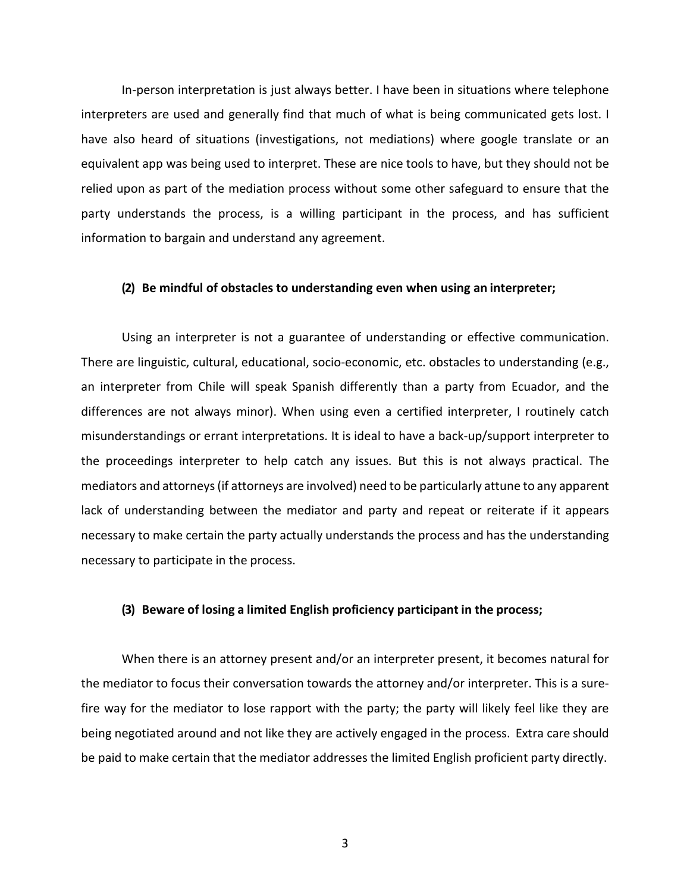In-person interpretation is just always better. I have been in situations where telephone interpreters are used and generally find that much of what is being communicated gets lost. I have also heard of situations (investigations, not mediations) where google translate or an equivalent app was being used to interpret. These are nice tools to have, but they should not be relied upon as part of the mediation process without some other safeguard to ensure that the party understands the process, is a willing participant in the process, and has sufficient information to bargain and understand any agreement.

### **(2) Be mindful of obstacles to understanding even when using an interpreter;**

Using an interpreter is not a guarantee of understanding or effective communication. There are linguistic, cultural, educational, socio-economic, etc. obstacles to understanding (e.g., an interpreter from Chile will speak Spanish differently than a party from Ecuador, and the differences are not always minor). When using even a certified interpreter, I routinely catch misunderstandings or errant interpretations. It is ideal to have a back-up/support interpreter to the proceedings interpreter to help catch any issues. But this is not always practical. The mediators and attorneys(if attorneys are involved) need to be particularly attune to any apparent lack of understanding between the mediator and party and repeat or reiterate if it appears necessary to make certain the party actually understands the process and has the understanding necessary to participate in the process.

### **(3) Beware of losing a limited English proficiency participant in the process;**

When there is an attorney present and/or an interpreter present, it becomes natural for the mediator to focus their conversation towards the attorney and/or interpreter. This is a surefire way for the mediator to lose rapport with the party; the party will likely feel like they are being negotiated around and not like they are actively engaged in the process. Extra care should be paid to make certain that the mediator addresses the limited English proficient party directly.

3